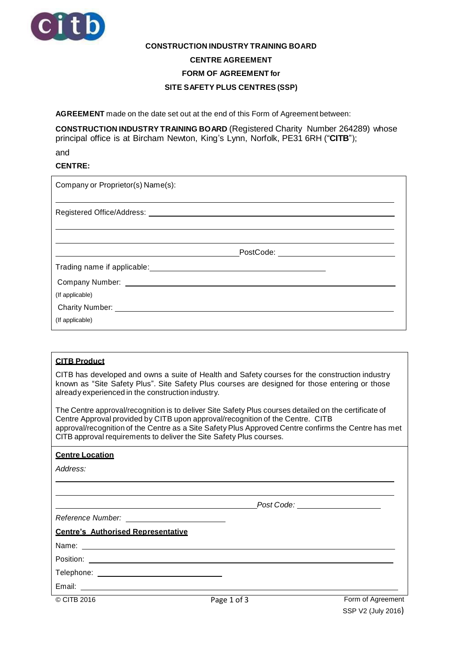

# **CONSTRUCTION INDUSTRY TRAINING BOARD CENTRE AGREEMENT FORM OF AGREEMENT for**

#### **SITE SAFETY PLUS CENTRES (SSP)**

**AGREEMENT** made on the date set out at the end of this Form of Agreement between:

**CONSTRUCTION INDUSTRY TRAINING BOARD** (Registered Charity Number 264289) whose principal office is at Bircham Newton, King's Lynn, Norfolk, PE31 6RH ("**CITB**");

and

#### **CENTRE:**

| Company or Proprietor(s) Name(s):                                                  |  |  |
|------------------------------------------------------------------------------------|--|--|
| Registered Office/Address: Neglistered Office/Address: Neglistered Office/Address: |  |  |
|                                                                                    |  |  |
|                                                                                    |  |  |
|                                                                                    |  |  |
| (If applicable)                                                                    |  |  |
|                                                                                    |  |  |
| (If applicable)                                                                    |  |  |

### **CITB Product**

CITB has developed and owns a suite of Health and Safety courses for the construction industry known as "Site Safety Plus". Site Safety Plus courses are designed for those entering or those already experienced in the construction industry.

The Centre approval/recognition is to deliver Site Safety Plus courses detailed on the certificate of Centre Approval provided by CITB upon approval/recognition of the Centre. CITB approval/recognition of the Centre as a Site Safety Plus Approved Centre confirms the Centre has met CITB approval requirements to deliver the Site Safety Plus courses.

#### **Centre Location**

*Address:*

*Post Code:*

## *Reference Number:*

**Centre's Authorised Representative**

| Name: |  |
|-------|--|
|       |  |

Position:

Telephone:

Email: \_\_\_\_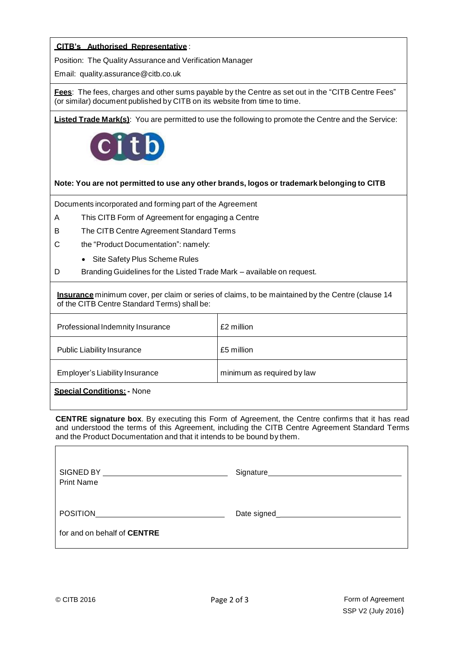#### **CITB's Authorised Representative** :

Position: The Quality Assurance and Verification Manager

Email: [quality.assurance@citb.co.uk](mailto:quality.assurance@citb.co.uk)

**Fees**: The fees, charges and other sums payable by the Centre as set out in the "CITB Centre Fees" (or similar) document published by CITB on its website from time to time.

**Listed Trade Mark(s)**: You are permitted to use the following to promote the Centre and the Service:



#### **Note: You are not permitted to use any other brands, logos or trademark belonging to CITB**

Documents incorporated and forming part of the Agreement

- A This CITB Form of Agreement for engaging a Centre
- B The CITB Centre Agreement Standard Terms
- C the "Product Documentation": namely:
	- Site Safety Plus Scheme Rules
- D Branding Guidelines for the Listed Trade Mark available on request*.*

**Insurance** minimum cover, per claim or series of claims, to be maintained by the Centre (clause 14 of the CITB Centre Standard Terms) shall be:

| Professional Indemnity Insurance  | £2 million                 |
|-----------------------------------|----------------------------|
| <b>Public Liability Insurance</b> | £5 million                 |
| Employer's Liability Insurance    | minimum as required by law |
| <b>Special Conditions: - None</b> |                            |

**CENTRE signature box**. By executing this Form of Agreement, the Centre confirms that it has read and understood the terms of this Agreement, including the CITB Centre Agreement Standard Terms and the Product Documentation and that it intends to be bound by them.

| SIGNED BY<br><b>Print Name</b>     | Signature                          |
|------------------------------------|------------------------------------|
| <b>POSITION</b>                    | Date signed_______________________ |
| for and on behalf of <b>CENTRE</b> |                                    |